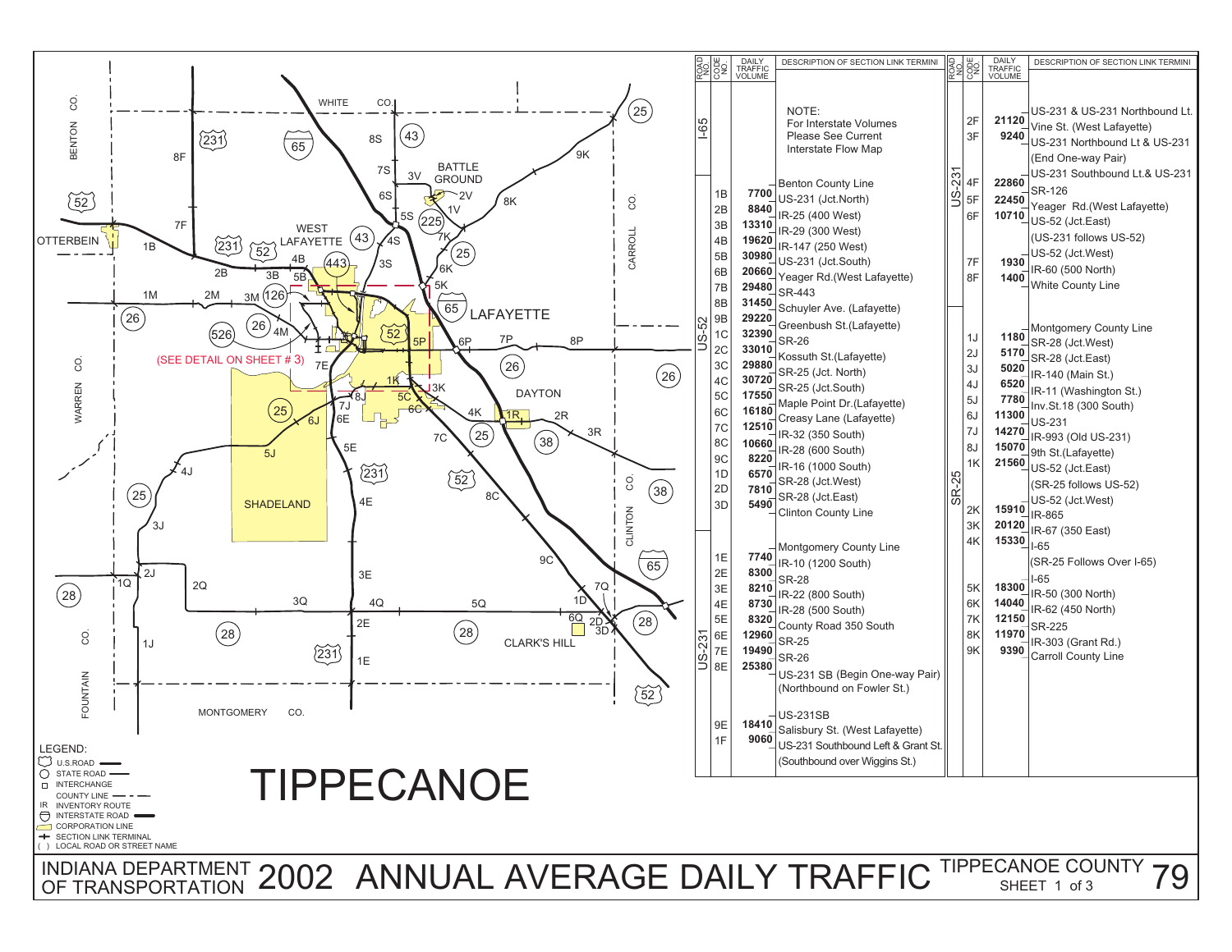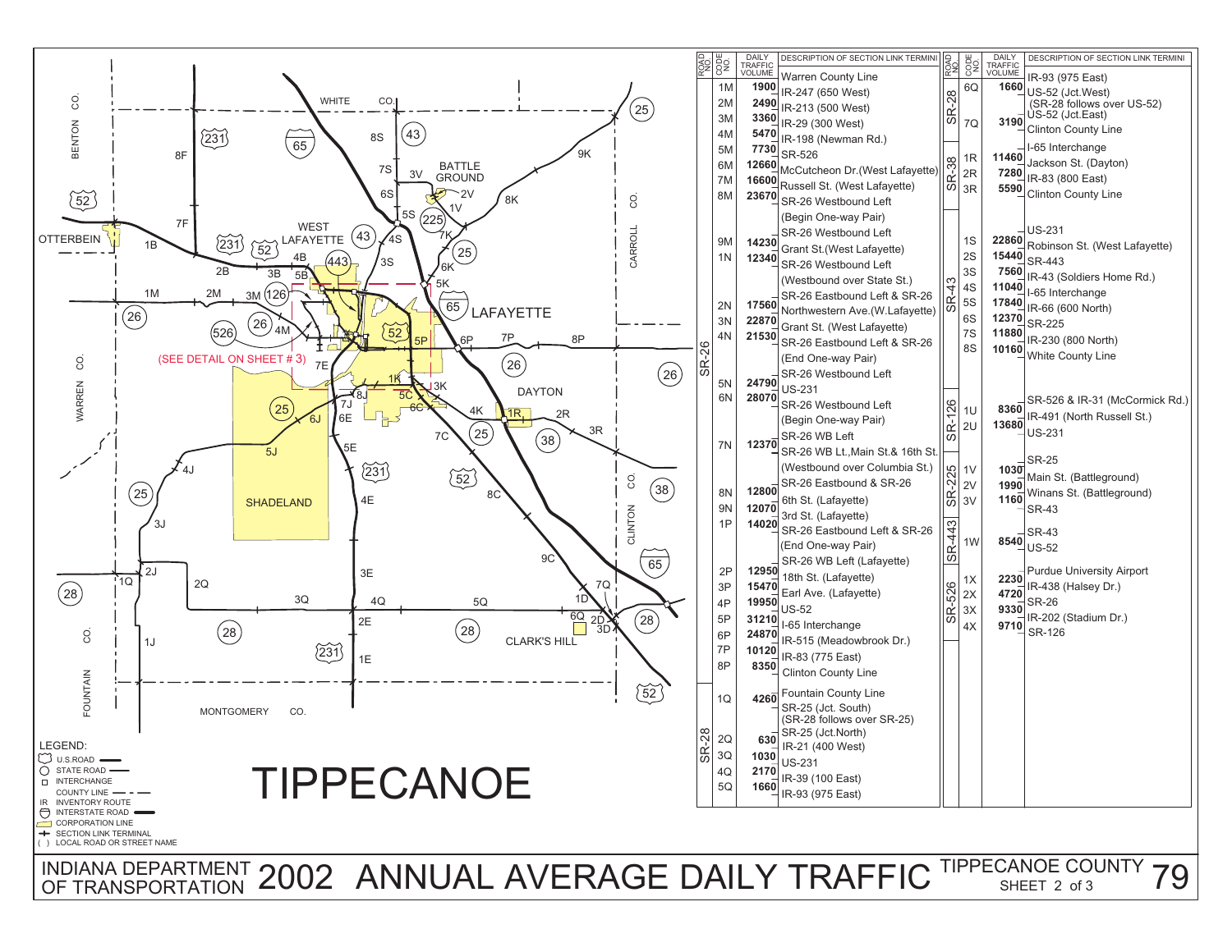